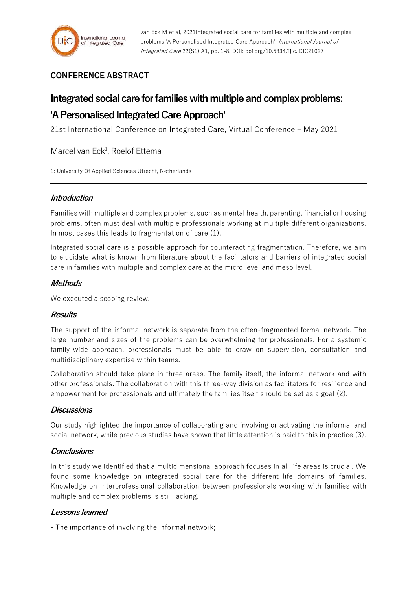# **CONFERENCE ABSTRACT**

# **Integrated social care for families with multiple and complex problems: 'A Personalised Integrated Care Approach'**

21st International Conference on Integrated Care, Virtual Conference – May 2021

Marcel van Eck<sup>1</sup>, Roelof Ettema

1: University Of Applied Sciences Utrecht, Netherlands

# **Introduction**

Families with multiple and complex problems, such as mental health, parenting, financial or housing problems, often must deal with multiple professionals working at multiple different organizations. In most cases this leads to fragmentation of care (1).

Integrated social care is a possible approach for counteracting fragmentation. Therefore, we aim to elucidate what is known from literature about the facilitators and barriers of integrated social care in families with multiple and complex care at the micro level and meso level.

### **Methods**

We executed a scoping review.

#### **Results**

The support of the informal network is separate from the often-fragmented formal network. The large number and sizes of the problems can be overwhelming for professionals. For a systemic family-wide approach, professionals must be able to draw on supervision, consultation and multidisciplinary expertise within teams.

Collaboration should take place in three areas. The family itself, the informal network and with other professionals. The collaboration with this three-way division as facilitators for resilience and empowerment for professionals and ultimately the families itself should be set as a goal (2).

#### **Discussions**

Our study highlighted the importance of collaborating and involving or activating the informal and social network, while previous studies have shown that little attention is paid to this in practice (3).

# **Conclusions**

In this study we identified that a multidimensional approach focuses in all life areas is crucial. We found some knowledge on integrated social care for the different life domains of families. Knowledge on interprofessional collaboration between professionals working with families with multiple and complex problems is still lacking.

# **Lessons learned**

- The importance of involving the informal network;